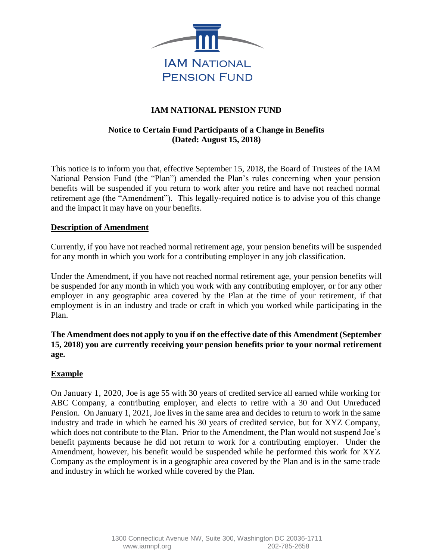

# **IAM NATIONAL PENSION FUND**

# **Notice to Certain Fund Participants of a Change in Benefits (Dated: August 15, 2018)**

This notice is to inform you that, effective September 15, 2018, the Board of Trustees of the IAM National Pension Fund (the "Plan") amended the Plan's rules concerning when your pension benefits will be suspended if you return to work after you retire and have not reached normal retirement age (the "Amendment"). This legally-required notice is to advise you of this change and the impact it may have on your benefits.

### **Description of Amendment**

Currently, if you have not reached normal retirement age, your pension benefits will be suspended for any month in which you work for a contributing employer in any job classification.

Under the Amendment, if you have not reached normal retirement age, your pension benefits will be suspended for any month in which you work with any contributing employer, or for any other employer in any geographic area covered by the Plan at the time of your retirement, if that employment is in an industry and trade or craft in which you worked while participating in the Plan.

**The Amendment does not apply to you if on the effective date of this Amendment (September 15, 2018) you are currently receiving your pension benefits prior to your normal retirement age.**

### **Example**

On January 1, 2020, Joe is age 55 with 30 years of credited service all earned while working for ABC Company, a contributing employer, and elects to retire with a 30 and Out Unreduced Pension. On January 1, 2021, Joe lives in the same area and decides to return to work in the same industry and trade in which he earned his 30 years of credited service, but for XYZ Company, which does not contribute to the Plan. Prior to the Amendment, the Plan would not suspend Joe's benefit payments because he did not return to work for a contributing employer. Under the Amendment, however, his benefit would be suspended while he performed this work for XYZ Company as the employment is in a geographic area covered by the Plan and is in the same trade and industry in which he worked while covered by the Plan.